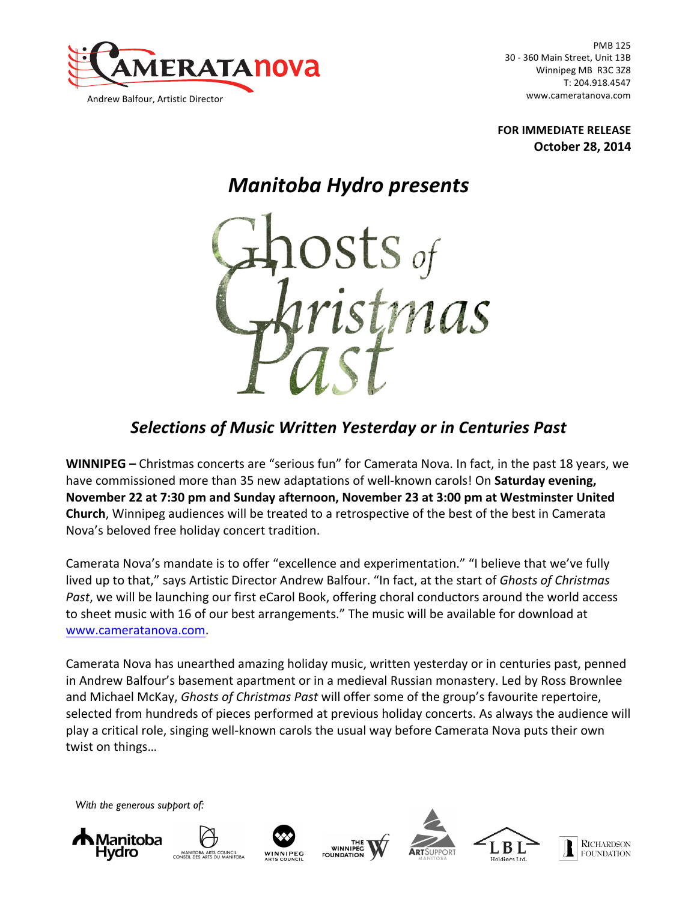

PMB 125 30 - 360 Main Street, Unit 13B Winnipeg MB R3C 3Z8 T: 204.918.4547 www.cameratanova.com

**FOR IMMEDIATE RELEASE October 28, 2014**

## *Manitoba Hydro presents*



## *Selections of Music Written Yesterday or in Centuries Past*

**WINNIPEG** – Christmas concerts are "serious fun" for Camerata Nova. In fact, in the past 18 years, we have commissioned more than 35 new adaptations of well-known carols! On **Saturday evening,** November 22 at 7:30 pm and Sunday afternoon, November 23 at 3:00 pm at Westminster United **Church**, Winnipeg audiences will be treated to a retrospective of the best of the best in Camerata Nova's beloved free holiday concert tradition.

Camerata Nova's mandate is to offer "excellence and experimentation." "I believe that we've fully lived up to that," says Artistic Director Andrew Balfour. "In fact, at the start of *Ghosts of Christmas Past*, we will be launching our first eCarol Book, offering choral conductors around the world access to sheet music with 16 of our best arrangements." The music will be available for download at www.cameratanova.com.

Camerata Nova has unearthed amazing holiday music, written yesterday or in centuries past, penned in Andrew Balfour's basement apartment or in a medieval Russian monastery. Led by Ross Brownlee and Michael McKay, *Ghosts of Christmas Past* will offer some of the group's favourite repertoire, selected from hundreds of pieces performed at previous holiday concerts. As always the audience will play a critical role, singing well-known carols the usual way before Camerata Nova puts their own twist on things...

*With the generous support of:*













**RICHARDSON FOUNDATION**